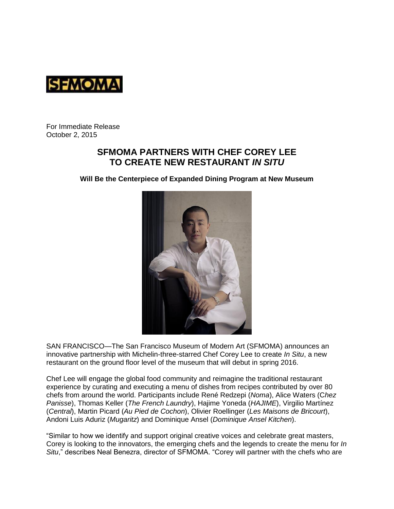

For Immediate Release October 2, 2015

# **SFMOMA PARTNERS WITH CHEF COREY LEE TO CREATE NEW RESTAURANT** *IN SITU*

**Will Be the Centerpiece of Expanded Dining Program at New Museum**



SAN FRANCISCO—The San Francisco Museum of Modern Art (SFMOMA) announces an innovative partnership with Michelin-three-starred Chef Corey Lee to create *In Situ*, a new restaurant on the ground floor level of the museum that will debut in spring 2016.

Chef Lee will engage the global food community and reimagine the traditional restaurant experience by curating and executing a menu of dishes from recipes contributed by over 80 chefs from around the world. Participants include René Redzepi (*Noma*), Alice Waters (C*hez Panisse*), Thomas Keller (*The French Laundry*), Hajime Yoneda (*HAJIME*), Virgilio Martínez (*Central*), Martin Picard (*Au Pied de Cochon*), Olivier Roellinger (*Les Maisons de Bricourt*), Andoni Luis Aduriz (*Mugaritz*) and Dominique Ansel (*Dominique Ansel Kitchen*).

"Similar to how we identify and support original creative voices and celebrate great masters, Corey is looking to the innovators, the emerging chefs and the legends to create the menu for *In Situ*," describes Neal Benezra, director of SFMOMA. "Corey will partner with the chefs who are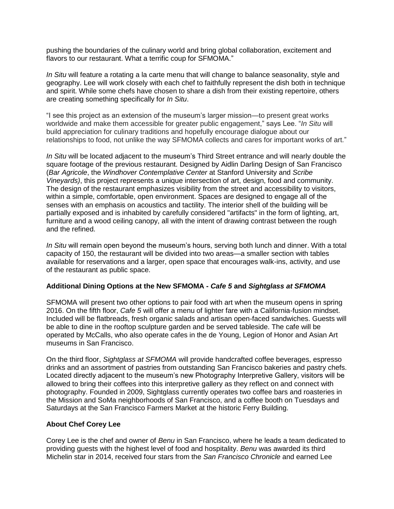pushing the boundaries of the culinary world and bring global collaboration, excitement and flavors to our restaurant. What a terrific coup for SFMOMA."

*In Situ* will feature a rotating a la carte menu that will change to balance seasonality, style and geography. Lee will work closely with each chef to faithfully represent the dish both in technique and spirit. While some chefs have chosen to share a dish from their existing repertoire, others are creating something specifically for *In Situ*.

"I see this project as an extension of the museum's larger mission—to present great works worldwide and make them accessible for greater public engagement," says Lee. "*In Situ* will build appreciation for culinary traditions and hopefully encourage dialogue about our relationships to food, not unlike the way SFMOMA collects and cares for important works of art."

*In Situ* will be located adjacent to the museum's Third Street entrance and will nearly double the square footage of the previous restaurant. Designed by Aidlin Darling Design of San Francisco (*Bar Agricole*, the *Windhover Contemplative Center* at Stanford University and *Scribe Vineyards)*, this project represents a unique intersection of art, design, food and community. The design of the restaurant emphasizes visibility from the street and accessibility to visitors, within a simple, comfortable, open environment. Spaces are designed to engage all of the senses with an emphasis on acoustics and tactility. The interior shell of the building will be partially exposed and is inhabited by carefully considered "artifacts" in the form of lighting, art, furniture and a wood ceiling canopy, all with the intent of drawing contrast between the rough and the refined.

*In Situ* will remain open beyond the museum's hours, serving both lunch and dinner. With a total capacity of 150, the restaurant will be divided into two areas—a smaller section with tables available for reservations and a larger, open space that encourages walk-ins, activity, and use of the restaurant as public space.

### **Additional Dining Options at the New SFMOMA -** *Cafe 5* **and** *Sightglass at SFMOMA*

SFMOMA will present two other options to pair food with art when the museum opens in spring 2016. On the fifth floor, *Cafe 5* will offer a menu of lighter fare with a California-fusion mindset. Included will be flatbreads, fresh organic salads and artisan open-faced sandwiches. Guests will be able to dine in the rooftop sculpture garden and be served tableside. The cafe will be operated by McCalls, who also operate cafes in the de Young, Legion of Honor and Asian Art museums in San Francisco.

On the third floor, *Sightglass at SFMOMA* will provide handcrafted coffee beverages, espresso drinks and an assortment of pastries from outstanding San Francisco bakeries and pastry chefs. Located directly adjacent to the museum's new Photography Interpretive Gallery, visitors will be allowed to bring their coffees into this interpretive gallery as they reflect on and connect with photography. Founded in 2009, Sightglass currently operates two coffee bars and roasteries in the Mission and SoMa neighborhoods of San Francisco, and a coffee booth on Tuesdays and Saturdays at the San Francisco Farmers Market at the historic Ferry Building.

### **About Chef Corey Lee**

Corey Lee is the chef and owner of *Benu* in San Francisco, where he leads a team dedicated to providing guests with the highest level of food and hospitality. *Benu* was awarded its third Michelin star in 2014, received four stars from the *San Francisco Chronicle* and earned Lee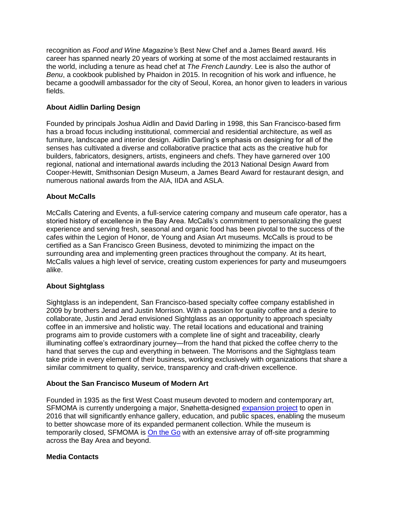recognition as *Food and Wine Magazine's* Best New Chef and a James Beard award. His career has spanned nearly 20 years of working at some of the most acclaimed restaurants in the world, including a tenure as head chef at *The French Laundry*. Lee is also the author of *Benu*, a cookbook published by Phaidon in 2015. In recognition of his work and influence, he became a goodwill ambassador for the city of Seoul, Korea, an honor given to leaders in various fields.

## **About Aidlin Darling Design**

Founded by principals Joshua Aidlin and David Darling in 1998, this San Francisco-based firm has a broad focus including institutional, commercial and residential architecture, as well as furniture, landscape and interior design. Aidlin Darling's emphasis on designing for all of the senses has cultivated a diverse and collaborative practice that acts as the creative hub for builders, fabricators, designers, artists, engineers and chefs. They have garnered over 100 regional, national and international awards including the 2013 National Design Award from Cooper-Hewitt, Smithsonian Design Museum, a James Beard Award for restaurant design, and numerous national awards from the AIA, IIDA and ASLA.

### **About McCalls**

McCalls Catering and Events, a full-service catering company and museum cafe operator, has a storied history of excellence in the Bay Area. McCalls's commitment to personalizing the guest experience and serving fresh, seasonal and organic food has been pivotal to the success of the cafes within the Legion of Honor, de Young and Asian Art museums. McCalls is proud to be certified as a San Francisco Green Business, devoted to minimizing the impact on the surrounding area and implementing green practices throughout the company. At its heart, McCalls values a high level of service, creating custom experiences for party and museumgoers alike.

### **About Sightglass**

Sightglass is an independent, San Francisco-based specialty coffee company established in 2009 by brothers Jerad and Justin Morrison. With a passion for quality coffee and a desire to collaborate, Justin and Jerad envisioned Sightglass as an opportunity to approach specialty coffee in an immersive and holistic way. The retail locations and educational and training programs aim to provide customers with a complete line of sight and traceability, clearly illuminating coffee's extraordinary journey—from the hand that picked the coffee cherry to the hand that serves the cup and everything in between. The Morrisons and the Sightglass team take pride in every element of their business, working exclusively with organizations that share a similar commitment to quality, service, transparency and craft-driven excellence.

### **About the San Francisco Museum of Modern Art**

Founded in 1935 as the first West Coast museum devoted to modern and contemporary art, SFMOMA is currently undergoing a major, Snøhetta-designed [expansion project](http://future.sfmoma.org/) to open in 2016 that will significantly enhance gallery, education, and public spaces, enabling the museum to better showcase more of its expanded permanent collection. While the museum is temporarily closed, SFMOMA is [On the Go](http://www.sfmoma.org/exhib_events) with an extensive array of off-site programming across the Bay Area and beyond.

### **Media Contacts**